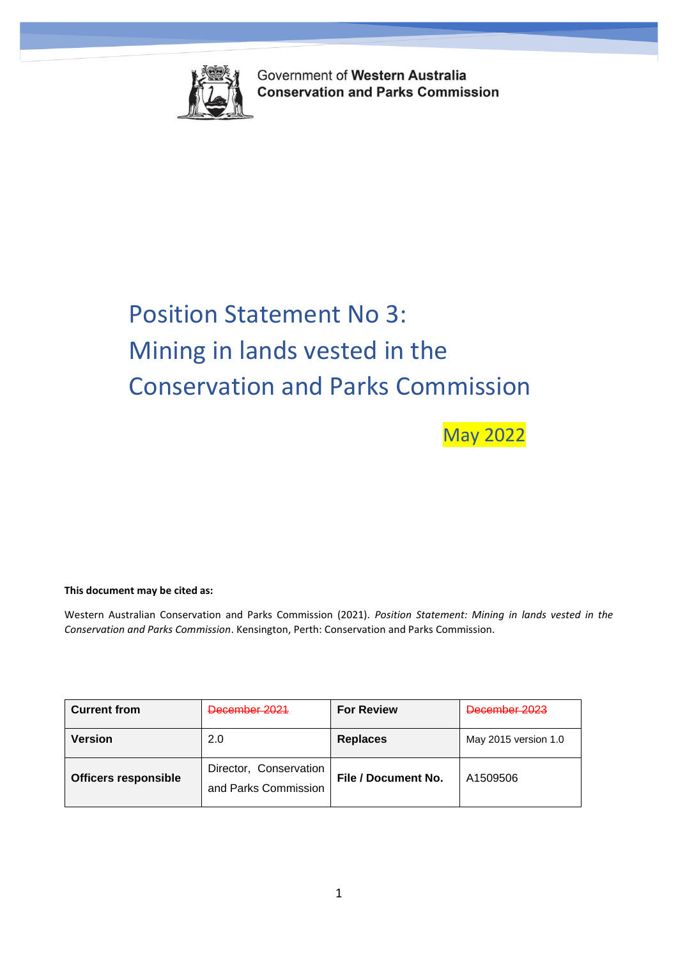

Government of Western Australia **Conservation and Parks Commission** 

*Position Statement on Artificial Structures on Marine Parks and Reserves*

# Position Statement No 3: Mining in lands vested in the Conservation and Parks Commission

May 2022

### **This document may be cited as:**

Western Australian Conservation and Parks Commission (2021). *Position Statement: Mining in lands vested in the Conservation and Parks Commission*. Kensington, Perth: Conservation and Parks Commission.

| <b>Current from</b>         | December 2021                                  | <b>For Review</b>          | December 2023        |
|-----------------------------|------------------------------------------------|----------------------------|----------------------|
| <b>Version</b>              | 2.0                                            | <b>Replaces</b>            | May 2015 version 1.0 |
| <b>Officers responsible</b> | Director, Conservation<br>and Parks Commission | <b>File / Document No.</b> | A1509506             |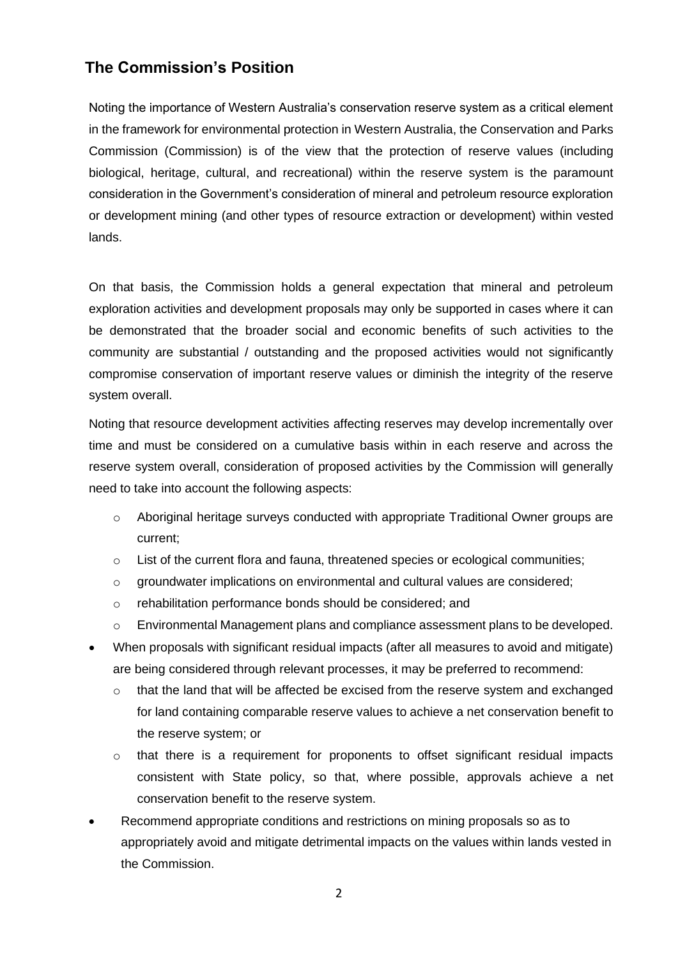## **The Commission's Position**

Noting the importance of Western Australia's conservation reserve system as a critical element in the framework for environmental protection in Western Australia, the Conservation and Parks Commission (Commission) is of the view that the protection of reserve values (including biological, heritage, cultural, and recreational) within the reserve system is the paramount consideration in the Government's consideration of mineral and petroleum resource exploration or development mining (and other types of resource extraction or development) within vested lands.

On that basis, the Commission holds a general expectation that mineral and petroleum exploration activities and development proposals may only be supported in cases where it can be demonstrated that the broader social and economic benefits of such activities to the community are substantial / outstanding and the proposed activities would not significantly compromise conservation of important reserve values or diminish the integrity of the reserve system overall.

Noting that resource development activities affecting reserves may develop incrementally over time and must be considered on a cumulative basis within in each reserve and across the reserve system overall, consideration of proposed activities by the Commission will generally need to take into account the following aspects:

- $\circ$  Aboriginal heritage surveys conducted with appropriate Traditional Owner groups are current;
- $\circ$  List of the current flora and fauna, threatened species or ecological communities;
- $\circ$  groundwater implications on environmental and cultural values are considered;
- o rehabilitation performance bonds should be considered; and
- o Environmental Management plans and compliance assessment plans to be developed.
- When proposals with significant residual impacts (after all measures to avoid and mitigate) are being considered through relevant processes, it may be preferred to recommend:
	- o that the land that will be affected be excised from the reserve system and exchanged for land containing comparable reserve values to achieve a net conservation benefit to the reserve system; or
	- $\circ$  that there is a requirement for proponents to offset significant residual impacts consistent with State policy, so that, where possible, approvals achieve a net conservation benefit to the reserve system.
- Recommend appropriate conditions and restrictions on mining proposals so as to appropriately avoid and mitigate detrimental impacts on the values within lands vested in the Commission.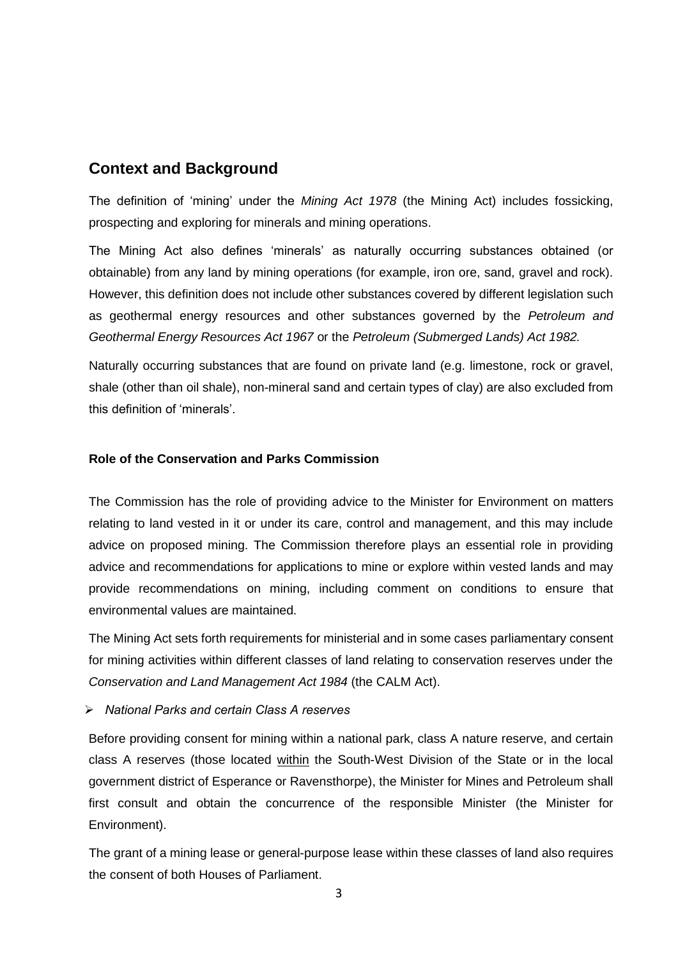## **Context and Background**

The definition of 'mining' under the *Mining Act 1978* (the Mining Act) includes fossicking, prospecting and exploring for minerals and mining operations.

The Mining Act also defines 'minerals' as naturally occurring substances obtained (or obtainable) from any land by mining operations (for example, iron ore, sand, gravel and rock). However, this definition does not include other substances covered by different legislation such as geothermal energy resources and other substances governed by the *Petroleum and Geothermal Energy Resources Act 1967* or the *Petroleum (Submerged Lands) Act 1982.*

Naturally occurring substances that are found on private land (e.g. limestone, rock or gravel, shale (other than oil shale), non-mineral sand and certain types of clay) are also excluded from this definition of 'minerals'.

## **Role of the Conservation and Parks Commission**

The Commission has the role of providing advice to the Minister for Environment on matters relating to land vested in it or under its care, control and management, and this may include advice on proposed mining. The Commission therefore plays an essential role in providing advice and recommendations for applications to mine or explore within vested lands and may provide recommendations on mining, including comment on conditions to ensure that environmental values are maintained.

The Mining Act sets forth requirements for ministerial and in some cases parliamentary consent for mining activities within different classes of land relating to conservation reserves under the *Conservation and Land Management Act 1984* (the CALM Act).

➢ *National Parks and certain Class A reserves*

Before providing consent for mining within a national park, class A nature reserve, and certain class A reserves (those located within the South-West Division of the State or in the local government district of Esperance or Ravensthorpe), the Minister for Mines and Petroleum shall first consult and obtain the concurrence of the responsible Minister (the Minister for Environment).

The grant of a mining lease or general-purpose lease within these classes of land also requires the consent of both Houses of Parliament.